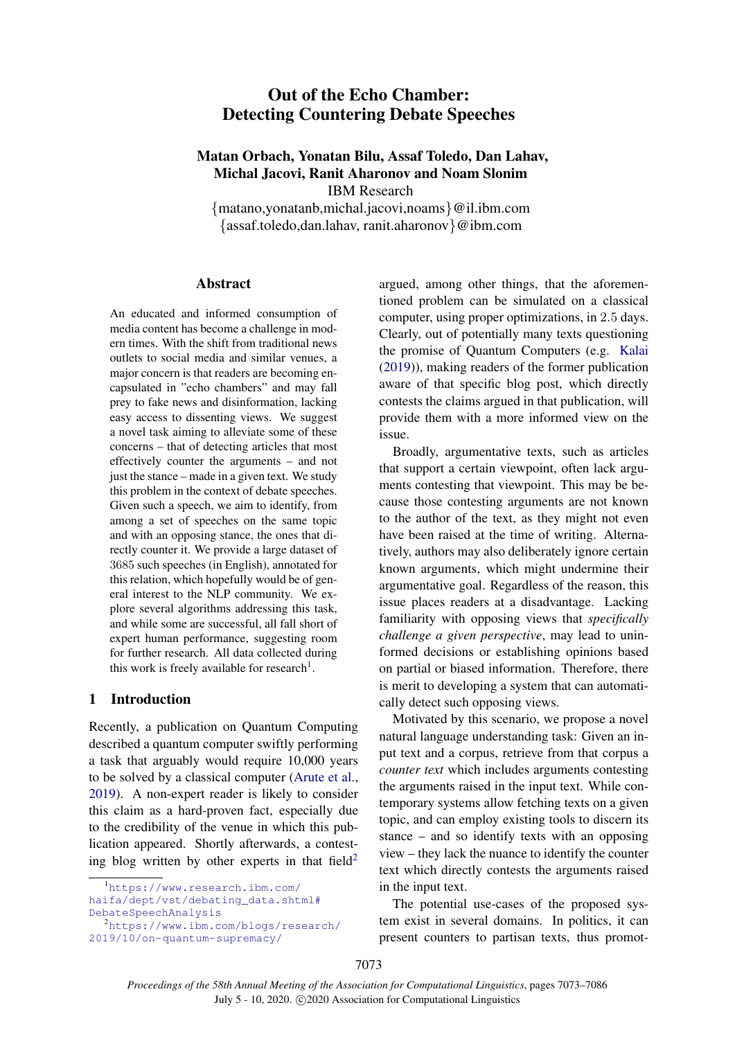# Out of the Echo Chamber: Detecting Countering Debate Speeches

## Matan Orbach, Yonatan Bilu, Assaf Toledo, Dan Lahav, Michal Jacovi, Ranit Aharonov and Noam Slonim IBM Research

{matano,yonatanb,michal.jacovi,noams}@il.ibm.com {assaf.toledo,dan.lahav, ranit.aharonov}@ibm.com

#### **Abstract**

An educated and informed consumption of media content has become a challenge in modern times. With the shift from traditional news outlets to social media and similar venues, a major concern is that readers are becoming encapsulated in "echo chambers" and may fall prey to fake news and disinformation, lacking easy access to dissenting views. We suggest a novel task aiming to alleviate some of these concerns – that of detecting articles that most effectively counter the arguments – and not just the stance – made in a given text. We study this problem in the context of debate speeches. Given such a speech, we aim to identify, from among a set of speeches on the same topic and with an opposing stance, the ones that directly counter it. We provide a large dataset of 3685 such speeches (in English), annotated for this relation, which hopefully would be of general interest to the NLP community. We explore several algorithms addressing this task, and while some are successful, all fall short of expert human performance, suggesting room for further research. All data collected during this work is freely available for research<sup>[1](#page-0-0)</sup>.

### 1 Introduction

Recently, a publication on Quantum Computing described a quantum computer swiftly performing a task that arguably would require 10,000 years to be solved by a classical computer [\(Arute et al.,](#page-8-0) [2019\)](#page-8-0). A non-expert reader is likely to consider this claim as a hard-proven fact, especially due to the credibility of the venue in which this publication appeared. Shortly afterwards, a contest-ing blog written by other experts in that field<sup>[2](#page-0-1)</sup>

<span id="page-0-0"></span><sup>1</sup>[https://www.research.ibm.com/](https://www.research.ibm.com/haifa/dept/vst/debating_data.shtml#Debate Speech Analysis) [haifa/dept/vst/debating\\_data.shtml#](https://www.research.ibm.com/haifa/dept/vst/debating_data.shtml#Debate Speech Analysis) [DebateSpeechAnalysis](https://www.research.ibm.com/haifa/dept/vst/debating_data.shtml#Debate Speech Analysis)

argued, among other things, that the aforementioned problem can be simulated on a classical computer, using proper optimizations, in 2.5 days. Clearly, out of potentially many texts questioning the promise of Quantum Computers (e.g. [Kalai](#page-9-0) [\(2019\)](#page-9-0)), making readers of the former publication aware of that specific blog post, which directly contests the claims argued in that publication, will provide them with a more informed view on the issue.

Broadly, argumentative texts, such as articles that support a certain viewpoint, often lack arguments contesting that viewpoint. This may be because those contesting arguments are not known to the author of the text, as they might not even have been raised at the time of writing. Alternatively, authors may also deliberately ignore certain known arguments, which might undermine their argumentative goal. Regardless of the reason, this issue places readers at a disadvantage. Lacking familiarity with opposing views that *specifically challenge a given perspective*, may lead to uninformed decisions or establishing opinions based on partial or biased information. Therefore, there is merit to developing a system that can automatically detect such opposing views.

Motivated by this scenario, we propose a novel natural language understanding task: Given an input text and a corpus, retrieve from that corpus a *counter text* which includes arguments contesting the arguments raised in the input text. While contemporary systems allow fetching texts on a given topic, and can employ existing tools to discern its stance – and so identify texts with an opposing view – they lack the nuance to identify the counter text which directly contests the arguments raised in the input text.

The potential use-cases of the proposed system exist in several domains. In politics, it can present counters to partisan texts, thus promot-

7073

<span id="page-0-1"></span><sup>2</sup>[https://www.ibm.com/blogs/research/](https://www.ibm.com/blogs/research/2019/10/on-quantum-supremacy/) [2019/10/on-quantum-supremacy/](https://www.ibm.com/blogs/research/2019/10/on-quantum-supremacy/)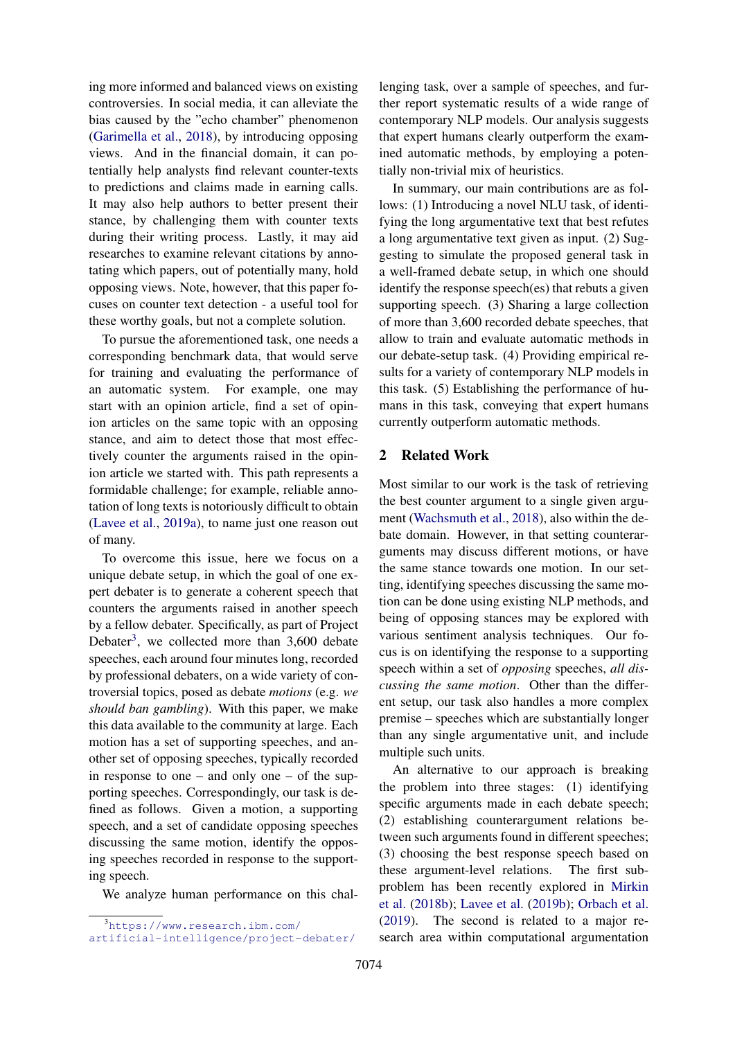ing more informed and balanced views on existing controversies. In social media, it can alleviate the bias caused by the "echo chamber" phenomenon [\(Garimella et al.,](#page-9-1) [2018\)](#page-9-1), by introducing opposing views. And in the financial domain, it can potentially help analysts find relevant counter-texts to predictions and claims made in earning calls. It may also help authors to better present their stance, by challenging them with counter texts during their writing process. Lastly, it may aid researches to examine relevant citations by annotating which papers, out of potentially many, hold opposing views. Note, however, that this paper focuses on counter text detection - a useful tool for these worthy goals, but not a complete solution.

To pursue the aforementioned task, one needs a corresponding benchmark data, that would serve for training and evaluating the performance of an automatic system. For example, one may start with an opinion article, find a set of opinion articles on the same topic with an opposing stance, and aim to detect those that most effectively counter the arguments raised in the opinion article we started with. This path represents a formidable challenge; for example, reliable annotation of long texts is notoriously difficult to obtain [\(Lavee et al.,](#page-9-2) [2019a\)](#page-9-2), to name just one reason out of many.

To overcome this issue, here we focus on a unique debate setup, in which the goal of one expert debater is to generate a coherent speech that counters the arguments raised in another speech by a fellow debater. Specifically, as part of Project Debater<sup>[3](#page-1-0)</sup>, we collected more than  $3,600$  debate speeches, each around four minutes long, recorded by professional debaters, on a wide variety of controversial topics, posed as debate *motions* (e.g. *we should ban gambling*). With this paper, we make this data available to the community at large. Each motion has a set of supporting speeches, and another set of opposing speeches, typically recorded in response to one – and only one – of the supporting speeches. Correspondingly, our task is defined as follows. Given a motion, a supporting speech, and a set of candidate opposing speeches discussing the same motion, identify the opposing speeches recorded in response to the supporting speech.

We analyze human performance on this chal-

lenging task, over a sample of speeches, and further report systematic results of a wide range of contemporary NLP models. Our analysis suggests that expert humans clearly outperform the examined automatic methods, by employing a potentially non-trivial mix of heuristics.

In summary, our main contributions are as follows: (1) Introducing a novel NLU task, of identifying the long argumentative text that best refutes a long argumentative text given as input. (2) Suggesting to simulate the proposed general task in a well-framed debate setup, in which one should identify the response speech(es) that rebuts a given supporting speech. (3) Sharing a large collection of more than 3,600 recorded debate speeches, that allow to train and evaluate automatic methods in our debate-setup task. (4) Providing empirical results for a variety of contemporary NLP models in this task. (5) Establishing the performance of humans in this task, conveying that expert humans currently outperform automatic methods.

## 2 Related Work

Most similar to our work is the task of retrieving the best counter argument to a single given argument [\(Wachsmuth et al.,](#page-10-0) [2018\)](#page-10-0), also within the debate domain. However, in that setting counterarguments may discuss different motions, or have the same stance towards one motion. In our setting, identifying speeches discussing the same motion can be done using existing NLP methods, and being of opposing stances may be explored with various sentiment analysis techniques. Our focus is on identifying the response to a supporting speech within a set of *opposing* speeches, *all discussing the same motion*. Other than the different setup, our task also handles a more complex premise – speeches which are substantially longer than any single argumentative unit, and include multiple such units.

An alternative to our approach is breaking the problem into three stages: (1) identifying specific arguments made in each debate speech; (2) establishing counterargument relations between such arguments found in different speeches; (3) choosing the best response speech based on these argument-level relations. The first subproblem has been recently explored in [Mirkin](#page-10-1) [et al.](#page-10-1) [\(2018b\)](#page-10-1); [Lavee et al.](#page-9-3) [\(2019b\)](#page-9-3); [Orbach et al.](#page-10-2) [\(2019\)](#page-10-2). The second is related to a major research area within computational argumentation

<span id="page-1-0"></span><sup>3</sup>[https://www.research.ibm.com/](https://www.research.ibm.com/artificial-intelligence/project-debater/) [artificial-intelligence/project-debater/](https://www.research.ibm.com/artificial-intelligence/project-debater/)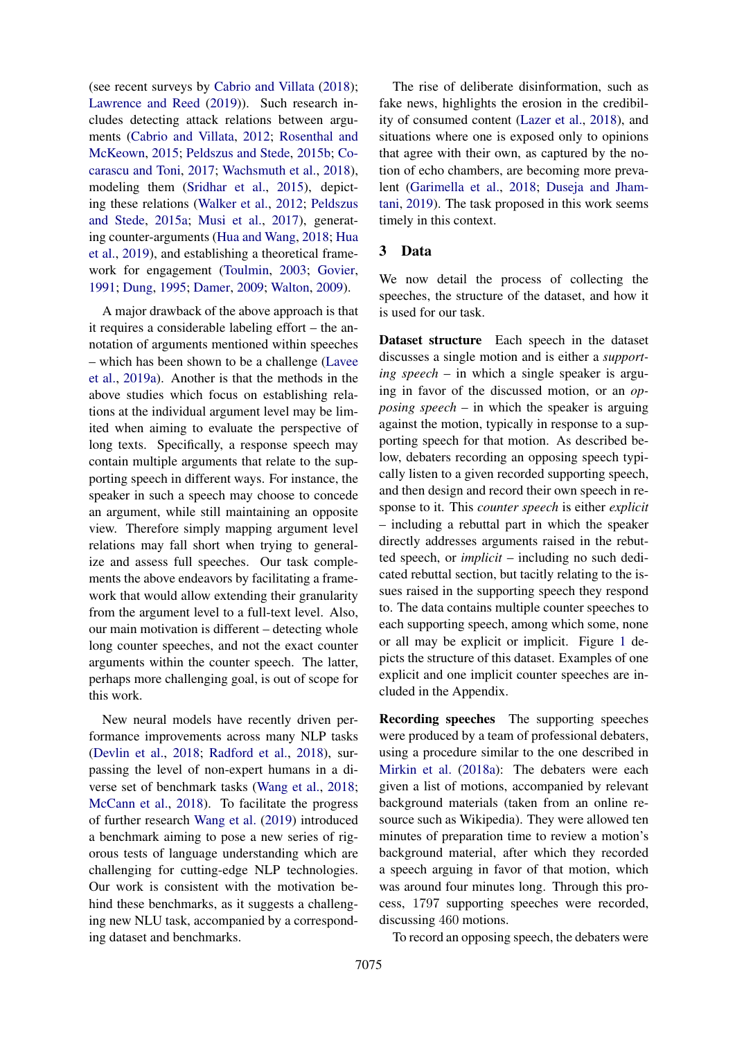(see recent surveys by [Cabrio and Villata](#page-9-4) [\(2018\)](#page-9-4); [Lawrence and Reed](#page-9-5) [\(2019\)](#page-9-5)). Such research includes detecting attack relations between arguments [\(Cabrio and Villata,](#page-9-6) [2012;](#page-9-6) [Rosenthal and](#page-10-3) [McKeown,](#page-10-3) [2015;](#page-10-3) [Peldszus and Stede,](#page-10-4) [2015b;](#page-10-4) [Co](#page-9-7)[carascu and Toni,](#page-9-7) [2017;](#page-9-7) [Wachsmuth et al.,](#page-10-0) [2018\)](#page-10-0), modeling them [\(Sridhar et al.,](#page-10-5) [2015\)](#page-10-5), depicting these relations [\(Walker et al.,](#page-10-6) [2012;](#page-10-6) [Peldszus](#page-10-7) [and Stede,](#page-10-7) [2015a;](#page-10-7) [Musi et al.,](#page-10-8) [2017\)](#page-10-8), generating counter-arguments [\(Hua and Wang,](#page-9-8) [2018;](#page-9-8) [Hua](#page-9-9) [et al.,](#page-9-9) [2019\)](#page-9-9), and establishing a theoretical framework for engagement [\(Toulmin,](#page-10-9) [2003;](#page-10-9) [Govier,](#page-9-10) [1991;](#page-9-10) [Dung,](#page-9-11) [1995;](#page-9-11) [Damer,](#page-9-12) [2009;](#page-9-12) [Walton,](#page-10-10) [2009\)](#page-10-10).

A major drawback of the above approach is that it requires a considerable labeling effort – the annotation of arguments mentioned within speeches – which has been shown to be a challenge [\(Lavee](#page-9-2) [et al.,](#page-9-2) [2019a\)](#page-9-2). Another is that the methods in the above studies which focus on establishing relations at the individual argument level may be limited when aiming to evaluate the perspective of long texts. Specifically, a response speech may contain multiple arguments that relate to the supporting speech in different ways. For instance, the speaker in such a speech may choose to concede an argument, while still maintaining an opposite view. Therefore simply mapping argument level relations may fall short when trying to generalize and assess full speeches. Our task complements the above endeavors by facilitating a framework that would allow extending their granularity from the argument level to a full-text level. Also, our main motivation is different – detecting whole long counter speeches, and not the exact counter arguments within the counter speech. The latter, perhaps more challenging goal, is out of scope for this work.

New neural models have recently driven performance improvements across many NLP tasks [\(Devlin et al.,](#page-9-13) [2018;](#page-9-13) [Radford et al.,](#page-10-11) [2018\)](#page-10-11), surpassing the level of non-expert humans in a diverse set of benchmark tasks [\(Wang et al.,](#page-10-12) [2018;](#page-10-12) [McCann et al.,](#page-9-14) [2018\)](#page-9-14). To facilitate the progress of further research [Wang et al.](#page-10-13) [\(2019\)](#page-10-13) introduced a benchmark aiming to pose a new series of rigorous tests of language understanding which are challenging for cutting-edge NLP technologies. Our work is consistent with the motivation behind these benchmarks, as it suggests a challenging new NLU task, accompanied by a corresponding dataset and benchmarks.

The rise of deliberate disinformation, such as fake news, highlights the erosion in the credibility of consumed content [\(Lazer et al.,](#page-9-15) [2018\)](#page-9-15), and situations where one is exposed only to opinions that agree with their own, as captured by the notion of echo chambers, are becoming more prevalent [\(Garimella et al.,](#page-9-1) [2018;](#page-9-1) [Duseja and Jham](#page-9-16)[tani,](#page-9-16) [2019\)](#page-9-16). The task proposed in this work seems timely in this context.

#### <span id="page-2-0"></span>3 Data

We now detail the process of collecting the speeches, the structure of the dataset, and how it is used for our task.

Dataset structure Each speech in the dataset discusses a single motion and is either a *supporting speech* – in which a single speaker is arguing in favor of the discussed motion, or an *opposing speech* – in which the speaker is arguing against the motion, typically in response to a supporting speech for that motion. As described below, debaters recording an opposing speech typically listen to a given recorded supporting speech, and then design and record their own speech in response to it. This *counter speech* is either *explicit* – including a rebuttal part in which the speaker directly addresses arguments raised in the rebutted speech, or *implicit* – including no such dedicated rebuttal section, but tacitly relating to the issues raised in the supporting speech they respond to. The data contains multiple counter speeches to each supporting speech, among which some, none or all may be explicit or implicit. Figure [1](#page-3-0) depicts the structure of this dataset. Examples of one explicit and one implicit counter speeches are included in the Appendix.

Recording speeches The supporting speeches were produced by a team of professional debaters, using a procedure similar to the one described in [Mirkin et al.](#page-10-14) [\(2018a\)](#page-10-14): The debaters were each given a list of motions, accompanied by relevant background materials (taken from an online resource such as Wikipedia). They were allowed ten minutes of preparation time to review a motion's background material, after which they recorded a speech arguing in favor of that motion, which was around four minutes long. Through this process, 1797 supporting speeches were recorded, discussing 460 motions.

To record an opposing speech, the debaters were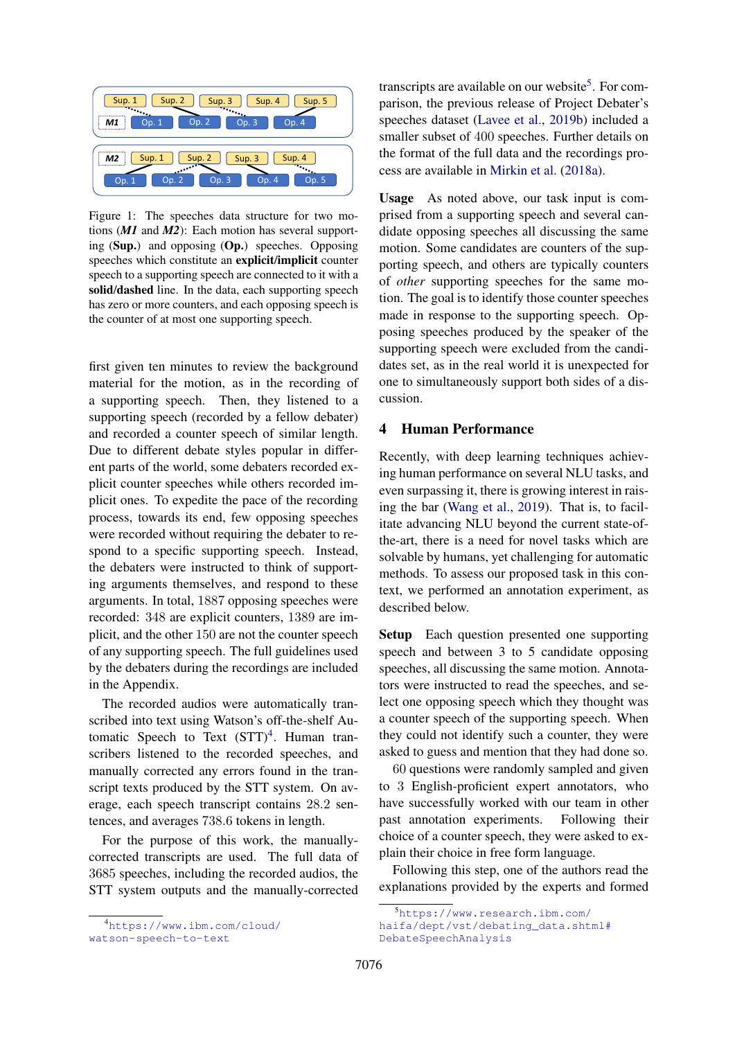<span id="page-3-0"></span>

Figure 1: The speeches data structure for two motions (*M1* and *M2*): Each motion has several supporting (Sup.) and opposing (Op.) speeches. Opposing speeches which constitute an explicit/implicit counter speech to a supporting speech are connected to it with a solid/dashed line. In the data, each supporting speech has zero or more counters, and each opposing speech is the counter of at most one supporting speech.

first given ten minutes to review the background material for the motion, as in the recording of a supporting speech. Then, they listened to a supporting speech (recorded by a fellow debater) and recorded a counter speech of similar length. Due to different debate styles popular in different parts of the world, some debaters recorded explicit counter speeches while others recorded implicit ones. To expedite the pace of the recording process, towards its end, few opposing speeches were recorded without requiring the debater to respond to a specific supporting speech. Instead, the debaters were instructed to think of supporting arguments themselves, and respond to these arguments. In total, 1887 opposing speeches were recorded: 348 are explicit counters, 1389 are implicit, and the other 150 are not the counter speech of any supporting speech. The full guidelines used by the debaters during the recordings are included in the Appendix.

The recorded audios were automatically transcribed into text using Watson's off-the-shelf Automatic Speech to Text  $(STT)^4$  $(STT)^4$ . Human transcribers listened to the recorded speeches, and manually corrected any errors found in the transcript texts produced by the STT system. On average, each speech transcript contains 28.2 sentences, and averages 738.6 tokens in length.

For the purpose of this work, the manuallycorrected transcripts are used. The full data of 3685 speeches, including the recorded audios, the STT system outputs and the manually-corrected

<span id="page-3-1"></span><sup>4</sup>[https://www.ibm.com/cloud/](https://www.ibm.com/cloud/watson-speech-to-text) [watson-speech-to-text](https://www.ibm.com/cloud/watson-speech-to-text)

transcripts are available on our website<sup>[5](#page-3-2)</sup>. For comparison, the previous release of Project Debater's speeches dataset [\(Lavee et al.,](#page-9-3) [2019b\)](#page-9-3) included a smaller subset of 400 speeches. Further details on the format of the full data and the recordings process are available in [Mirkin et al.](#page-10-14) [\(2018a\)](#page-10-14).

Usage As noted above, our task input is comprised from a supporting speech and several candidate opposing speeches all discussing the same motion. Some candidates are counters of the supporting speech, and others are typically counters of *other* supporting speeches for the same motion. The goal is to identify those counter speeches made in response to the supporting speech. Opposing speeches produced by the speaker of the supporting speech were excluded from the candidates set, as in the real world it is unexpected for one to simultaneously support both sides of a discussion.

### 4 Human Performance

Recently, with deep learning techniques achieving human performance on several NLU tasks, and even surpassing it, there is growing interest in raising the bar [\(Wang et al.,](#page-10-13) [2019\)](#page-10-13). That is, to facilitate advancing NLU beyond the current state-ofthe-art, there is a need for novel tasks which are solvable by humans, yet challenging for automatic methods. To assess our proposed task in this context, we performed an annotation experiment, as described below.

Setup Each question presented one supporting speech and between 3 to 5 candidate opposing speeches, all discussing the same motion. Annotators were instructed to read the speeches, and select one opposing speech which they thought was a counter speech of the supporting speech. When they could not identify such a counter, they were asked to guess and mention that they had done so.

60 questions were randomly sampled and given to 3 English-proficient expert annotators, who have successfully worked with our team in other past annotation experiments. Following their choice of a counter speech, they were asked to explain their choice in free form language.

Following this step, one of the authors read the explanations provided by the experts and formed

<span id="page-3-2"></span><sup>5</sup>[https://www.research.ibm.com/](https://www.research.ibm.com/haifa/dept/vst/debating_data.shtml#Debate Speech Analysis) [haifa/dept/vst/debating\\_data.shtml#](https://www.research.ibm.com/haifa/dept/vst/debating_data.shtml#Debate Speech Analysis) [DebateSpeechAnalysis](https://www.research.ibm.com/haifa/dept/vst/debating_data.shtml#Debate Speech Analysis)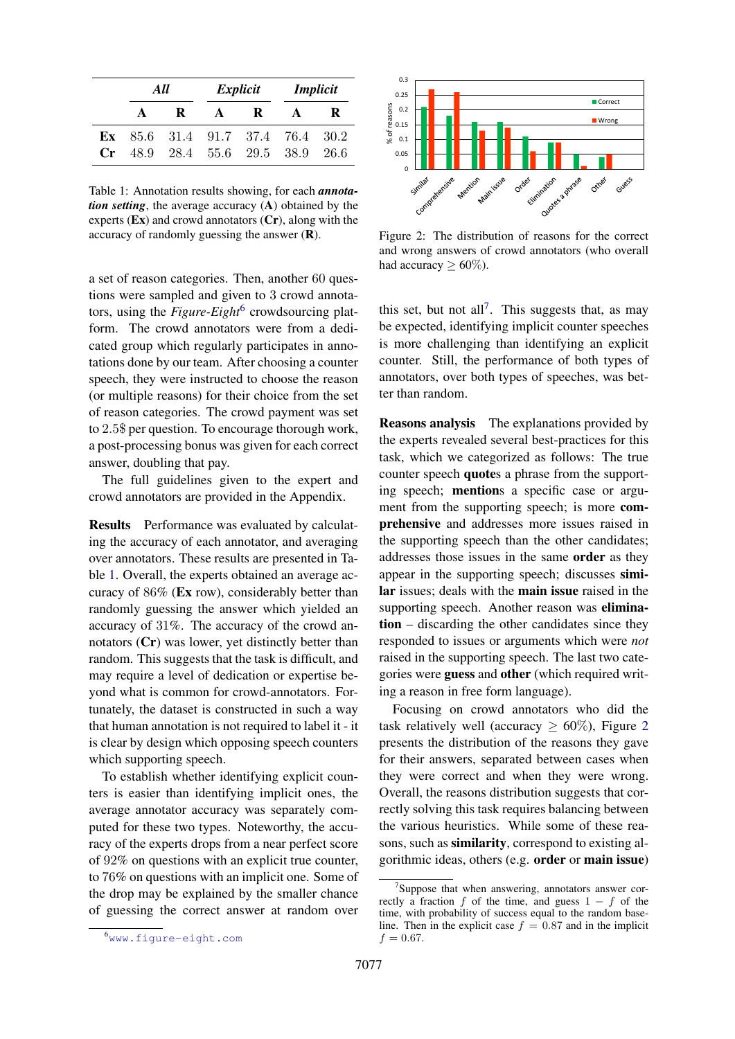<span id="page-4-1"></span>

|              | All          |                                    |              | Explicit     | <i>Implicit</i> |   |  |
|--------------|--------------|------------------------------------|--------------|--------------|-----------------|---|--|
|              | $\mathbf{A}$ | - R                                | $\mathbf{A}$ | $\mathbf{R}$ |                 | R |  |
|              |              | Ex $85.6$ 31.4 91.7 37.4 76.4 30.2 |              |              |                 |   |  |
| $C_{\Gamma}$ |              | 48.9 28.4 55.6 29.5 38.9 26.6      |              |              |                 |   |  |

Table 1: Annotation results showing, for each *annotation setting*, the average accuracy (A) obtained by the experts  $(Ex)$  and crowd annotators  $(Cr)$ , along with the accuracy of randomly guessing the answer (R).

a set of reason categories. Then, another 60 questions were sampled and given to 3 crowd annotators, using the *Figure-Eight*<sup>[6](#page-4-0)</sup> crowdsourcing platform. The crowd annotators were from a dedicated group which regularly participates in annotations done by our team. After choosing a counter speech, they were instructed to choose the reason (or multiple reasons) for their choice from the set of reason categories. The crowd payment was set to 2.5\$ per question. To encourage thorough work, a post-processing bonus was given for each correct answer, doubling that pay.

The full guidelines given to the expert and crowd annotators are provided in the Appendix.

Results Performance was evaluated by calculating the accuracy of each annotator, and averaging over annotators. These results are presented in Table [1.](#page-4-1) Overall, the experts obtained an average accuracy of 86% (Ex row), considerably better than randomly guessing the answer which yielded an accuracy of 31%. The accuracy of the crowd annotators (Cr) was lower, yet distinctly better than random. This suggests that the task is difficult, and may require a level of dedication or expertise beyond what is common for crowd-annotators. Fortunately, the dataset is constructed in such a way that human annotation is not required to label it - it is clear by design which opposing speech counters which supporting speech.

To establish whether identifying explicit counters is easier than identifying implicit ones, the average annotator accuracy was separately computed for these two types. Noteworthy, the accuracy of the experts drops from a near perfect score of 92% on questions with an explicit true counter, to 76% on questions with an implicit one. Some of the drop may be explained by the smaller chance of guessing the correct answer at random over

<span id="page-4-0"></span>

<span id="page-4-3"></span>

Figure 2: The distribution of reasons for the correct and wrong answers of crowd annotators (who overall had accuracy  $\geq 60\%$ ).

this set, but not all<sup>[7](#page-4-2)</sup>. This suggests that, as may be expected, identifying implicit counter speeches is more challenging than identifying an explicit counter. Still, the performance of both types of annotators, over both types of speeches, was better than random.

Reasons analysis The explanations provided by the experts revealed several best-practices for this task, which we categorized as follows: The true counter speech quotes a phrase from the supporting speech; mentions a specific case or argument from the supporting speech; is more comprehensive and addresses more issues raised in the supporting speech than the other candidates; addresses those issues in the same order as they appear in the supporting speech; discusses similar issues; deals with the main issue raised in the supporting speech. Another reason was elimination – discarding the other candidates since they responded to issues or arguments which were *not* raised in the supporting speech. The last two categories were guess and other (which required writing a reason in free form language).

Focusing on crowd annotators who did the task relatively well (accuracy  $\geq 60\%$ ), Figure [2](#page-4-3) presents the distribution of the reasons they gave for their answers, separated between cases when they were correct and when they were wrong. Overall, the reasons distribution suggests that correctly solving this task requires balancing between the various heuristics. While some of these reasons, such as similarity, correspond to existing algorithmic ideas, others (e.g. order or main issue)

<span id="page-4-2"></span><sup>&</sup>lt;sup>7</sup>Suppose that when answering, annotators answer correctly a fraction f of the time, and guess  $1 - f$  of the time, with probability of success equal to the random baseline. Then in the explicit case  $f = 0.87$  and in the implicit  $f = 0.67$ .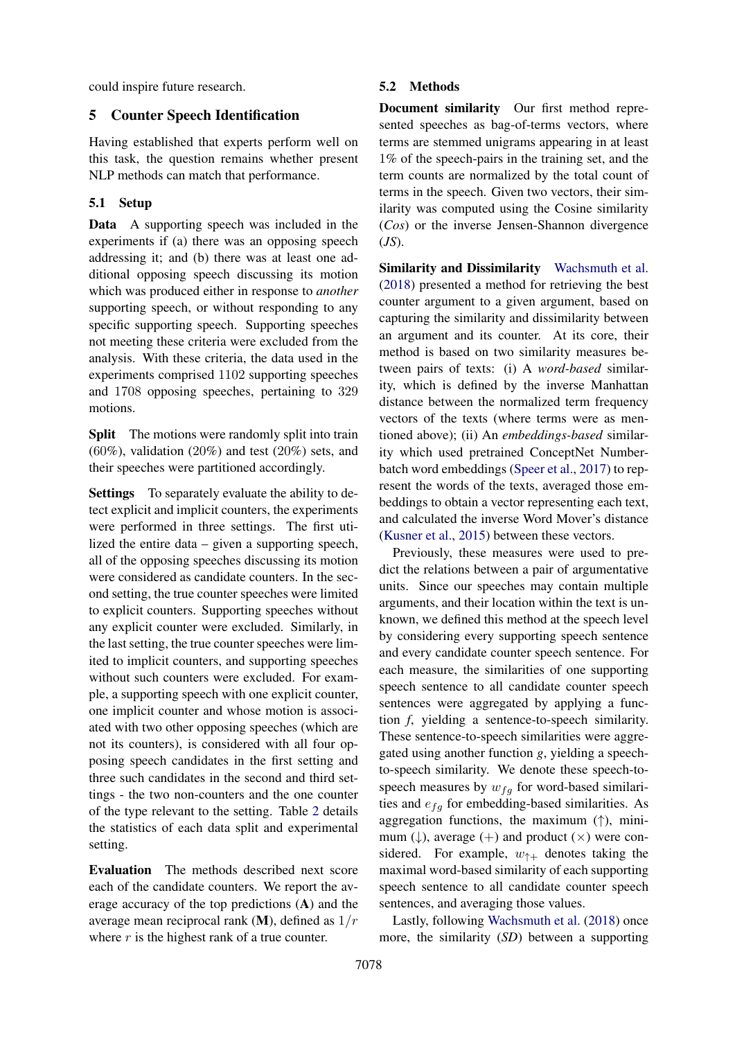could inspire future research.

## 5 Counter Speech Identification

Having established that experts perform well on this task, the question remains whether present NLP methods can match that performance.

## <span id="page-5-0"></span>5.1 Setup

Data A supporting speech was included in the experiments if (a) there was an opposing speech addressing it; and (b) there was at least one additional opposing speech discussing its motion which was produced either in response to *another* supporting speech, or without responding to any specific supporting speech. Supporting speeches not meeting these criteria were excluded from the analysis. With these criteria, the data used in the experiments comprised 1102 supporting speeches and 1708 opposing speeches, pertaining to 329 motions.

**Split** The motions were randomly split into train  $(60\%)$ , validation  $(20\%)$  and test  $(20\%)$  sets, and their speeches were partitioned accordingly.

Settings To separately evaluate the ability to detect explicit and implicit counters, the experiments were performed in three settings. The first utilized the entire data – given a supporting speech, all of the opposing speeches discussing its motion were considered as candidate counters. In the second setting, the true counter speeches were limited to explicit counters. Supporting speeches without any explicit counter were excluded. Similarly, in the last setting, the true counter speeches were limited to implicit counters, and supporting speeches without such counters were excluded. For example, a supporting speech with one explicit counter, one implicit counter and whose motion is associated with two other opposing speeches (which are not its counters), is considered with all four opposing speech candidates in the first setting and three such candidates in the second and third settings - the two non-counters and the one counter of the type relevant to the setting. Table [2](#page-6-0) details the statistics of each data split and experimental setting.

Evaluation The methods described next score each of the candidate counters. We report the average accuracy of the top predictions (A) and the average mean reciprocal rank  $(M)$ , defined as  $1/r$ where  $r$  is the highest rank of a true counter.

### 5.2 Methods

Document similarity Our first method represented speeches as bag-of-terms vectors, where terms are stemmed unigrams appearing in at least 1% of the speech-pairs in the training set, and the term counts are normalized by the total count of terms in the speech. Given two vectors, their similarity was computed using the Cosine similarity (*Cos*) or the inverse Jensen-Shannon divergence (*JS*).

Similarity and Dissimilarity [Wachsmuth et al.](#page-10-0) [\(2018\)](#page-10-0) presented a method for retrieving the best counter argument to a given argument, based on capturing the similarity and dissimilarity between an argument and its counter. At its core, their method is based on two similarity measures between pairs of texts: (i) A *word-based* similarity, which is defined by the inverse Manhattan distance between the normalized term frequency vectors of the texts (where terms were as mentioned above); (ii) An *embeddings-based* similarity which used pretrained ConceptNet Numberbatch word embeddings [\(Speer et al.,](#page-10-15) [2017\)](#page-10-15) to represent the words of the texts, averaged those embeddings to obtain a vector representing each text, and calculated the inverse Word Mover's distance [\(Kusner et al.,](#page-9-17) [2015\)](#page-9-17) between these vectors.

Previously, these measures were used to predict the relations between a pair of argumentative units. Since our speeches may contain multiple arguments, and their location within the text is unknown, we defined this method at the speech level by considering every supporting speech sentence and every candidate counter speech sentence. For each measure, the similarities of one supporting speech sentence to all candidate counter speech sentences were aggregated by applying a function *f*, yielding a sentence-to-speech similarity. These sentence-to-speech similarities were aggregated using another function *g*, yielding a speechto-speech similarity. We denote these speech-tospeech measures by  $w_{fg}$  for word-based similarities and  $e_{fq}$  for embedding-based similarities. As aggregation functions, the maximum  $(\uparrow)$ , minimum ( $\downarrow$ ), average (+) and product ( $\times$ ) were considered. For example,  $w_{\uparrow+}$  denotes taking the maximal word-based similarity of each supporting speech sentence to all candidate counter speech sentences, and averaging those values.

Lastly, following [Wachsmuth et al.](#page-10-0) [\(2018\)](#page-10-0) once more, the similarity (*SD*) between a supporting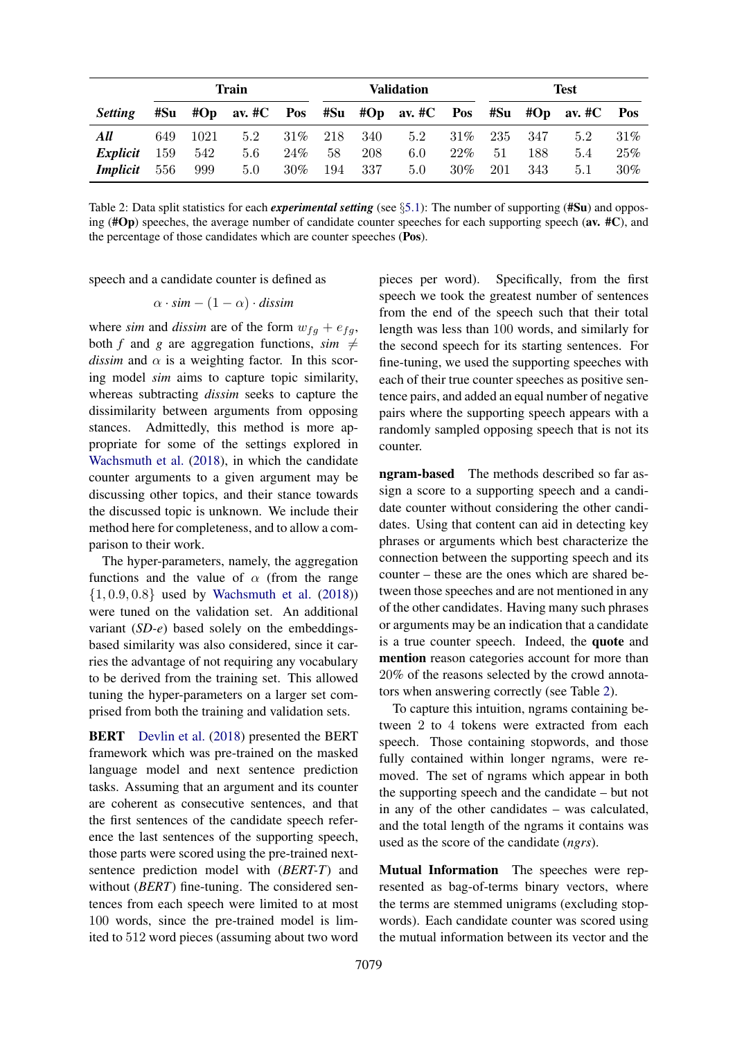<span id="page-6-0"></span>

|                 | Train |      |                                             | Validation |     |     | <b>Test</b> |        |     |     |                |     |
|-----------------|-------|------|---------------------------------------------|------------|-----|-----|-------------|--------|-----|-----|----------------|-----|
| <i>Setting</i>  | #Su   |      | $#Op$ av. $#C$ Pos $#Su$ $#Op$ av. $#C$ Pos |            |     |     |             |        | #Su |     | $#Op$ av. $#C$ | Pos |
| All             | 649   | 1021 | 5.2                                         | $31\%$     | 218 | 340 | 5.2         | $31\%$ | 235 | 347 | 5.2            | 31% |
| Explicit        | 159   | 542  | 5.6                                         | 24%        | 58  | 208 | 6.0         | $22\%$ | 51  | 188 | 5.4            | 25% |
| <i>Implicit</i> | 556   | 999  | 5.0                                         | $30\%$     | 194 | 337 | 5.0         | $30\%$ | 201 | 343 | 5.1            | 30% |

Table 2: Data split statistics for each *experimental setting* (see §[5.1\)](#page-5-0): The number of supporting (#Su) and opposing ( $#Op$ ) speeches, the average number of candidate counter speeches for each supporting speech (av.  $#C$ ), and the percentage of those candidates which are counter speeches (Pos).

speech and a candidate counter is defined as

$$
\alpha \cdot \textit{sim} - (1 - \alpha) \cdot \textit{dissim}
$$

where *sim* and *dissim* are of the form  $w_{fg} + e_{fg}$ , both *f* and *g* are aggregation functions, *sim*  $\neq$ *dissim* and  $\alpha$  is a weighting factor. In this scoring model *sim* aims to capture topic similarity, whereas subtracting *dissim* seeks to capture the dissimilarity between arguments from opposing stances. Admittedly, this method is more appropriate for some of the settings explored in [Wachsmuth et al.](#page-10-0) [\(2018\)](#page-10-0), in which the candidate counter arguments to a given argument may be discussing other topics, and their stance towards the discussed topic is unknown. We include their method here for completeness, and to allow a comparison to their work.

The hyper-parameters, namely, the aggregation functions and the value of  $\alpha$  (from the range  $\{1, 0.9, 0.8\}$  used by [Wachsmuth et al.](#page-10-0) [\(2018\)](#page-10-0)) were tuned on the validation set. An additional variant (*SD-e*) based solely on the embeddingsbased similarity was also considered, since it carries the advantage of not requiring any vocabulary to be derived from the training set. This allowed tuning the hyper-parameters on a larger set comprised from both the training and validation sets.

BERT [Devlin et al.](#page-9-13) [\(2018\)](#page-9-13) presented the BERT framework which was pre-trained on the masked language model and next sentence prediction tasks. Assuming that an argument and its counter are coherent as consecutive sentences, and that the first sentences of the candidate speech reference the last sentences of the supporting speech, those parts were scored using the pre-trained nextsentence prediction model with (*BERT-T*) and without (*BERT*) fine-tuning. The considered sentences from each speech were limited to at most 100 words, since the pre-trained model is limited to 512 word pieces (assuming about two word

pieces per word). Specifically, from the first speech we took the greatest number of sentences from the end of the speech such that their total length was less than 100 words, and similarly for the second speech for its starting sentences. For fine-tuning, we used the supporting speeches with each of their true counter speeches as positive sentence pairs, and added an equal number of negative pairs where the supporting speech appears with a randomly sampled opposing speech that is not its counter.

ngram-based The methods described so far assign a score to a supporting speech and a candidate counter without considering the other candidates. Using that content can aid in detecting key phrases or arguments which best characterize the connection between the supporting speech and its counter – these are the ones which are shared between those speeches and are not mentioned in any of the other candidates. Having many such phrases or arguments may be an indication that a candidate is a true counter speech. Indeed, the quote and mention reason categories account for more than 20% of the reasons selected by the crowd annotators when answering correctly (see Table [2\)](#page-4-3).

To capture this intuition, ngrams containing between 2 to 4 tokens were extracted from each speech. Those containing stopwords, and those fully contained within longer ngrams, were removed. The set of ngrams which appear in both the supporting speech and the candidate – but not in any of the other candidates – was calculated, and the total length of the ngrams it contains was used as the score of the candidate (*ngrs*).

Mutual Information The speeches were represented as bag-of-terms binary vectors, where the terms are stemmed unigrams (excluding stopwords). Each candidate counter was scored using the mutual information between its vector and the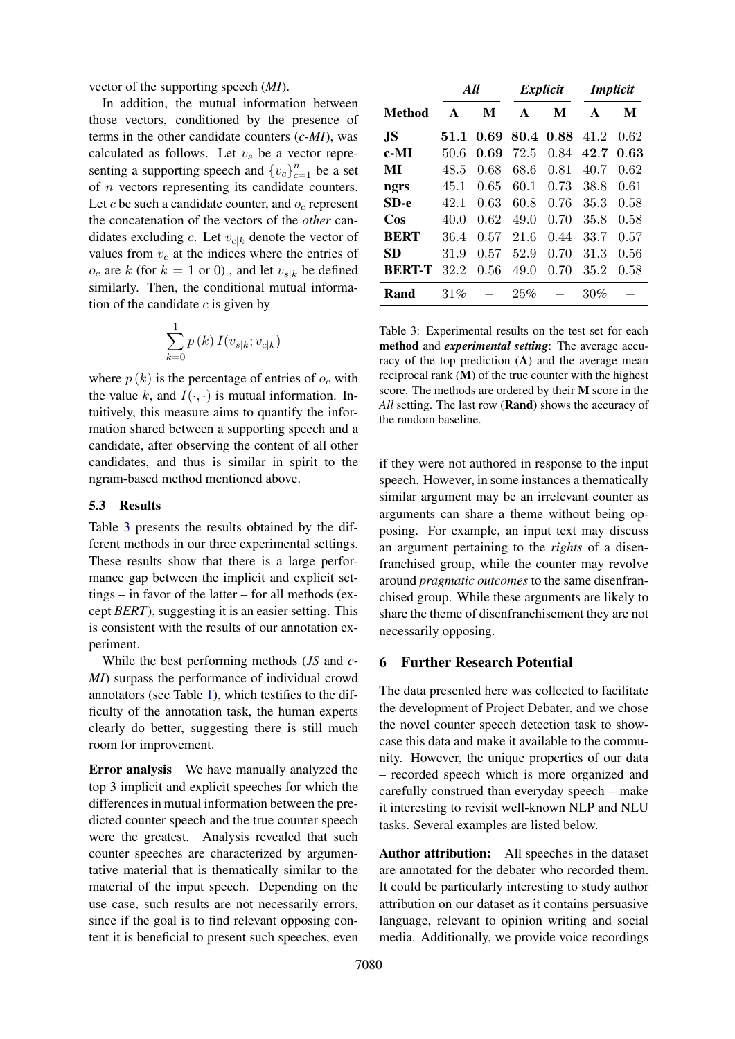vector of the supporting speech (*MI*).

In addition, the mutual information between those vectors, conditioned by the presence of terms in the other candidate counters (*c-MI*), was calculated as follows. Let  $v<sub>s</sub>$  be a vector representing a supporting speech and  ${v_c}_{c=1}^n$  be a set of n vectors representing its candidate counters. Let c be such a candidate counter, and  $o_c$  represent the concatenation of the vectors of the *other* candidates excluding c. Let  $v_{c|k}$  denote the vector of values from  $v_c$  at the indices where the entries of  $o_c$  are k (for  $k = 1$  or 0), and let  $v_{s|k}$  be defined similarly. Then, the conditional mutual information of the candidate  $c$  is given by

$$
\sum_{k=0}^{1} p(k) I(v_{s|k}; v_{c|k})
$$

where  $p(k)$  is the percentage of entries of  $o<sub>c</sub>$  with the value k, and  $I(\cdot, \cdot)$  is mutual information. Intuitively, this measure aims to quantify the information shared between a supporting speech and a candidate, after observing the content of all other candidates, and thus is similar in spirit to the ngram-based method mentioned above.

#### 5.3 Results

Table [3](#page-7-0) presents the results obtained by the different methods in our three experimental settings. These results show that there is a large performance gap between the implicit and explicit settings – in favor of the latter – for all methods (except *BERT*), suggesting it is an easier setting. This is consistent with the results of our annotation experiment.

While the best performing methods (*JS* and *c-MI*) surpass the performance of individual crowd annotators (see Table [1\)](#page-4-1), which testifies to the difficulty of the annotation task, the human experts clearly do better, suggesting there is still much room for improvement.

Error analysis We have manually analyzed the top 3 implicit and explicit speeches for which the differences in mutual information between the predicted counter speech and the true counter speech were the greatest. Analysis revealed that such counter speeches are characterized by argumentative material that is thematically similar to the material of the input speech. Depending on the use case, such results are not necessarily errors, since if the goal is to find relevant opposing content it is beneficial to present such speeches, even

<span id="page-7-0"></span>

|               | All  |      | Explicit |      | <i>Implicit</i> |      |  |
|---------------|------|------|----------|------|-----------------|------|--|
| Method        | A    | M    | A        | M    | $\mathbf{A}$    | M    |  |
| .IS           | 51.1 | 0.69 | 80.4     | 0.88 | 41.2            | 0.62 |  |
| c-MI          | 50.6 | 0.69 | 72.5     | 0.84 | 42.7            | 0.63 |  |
| MI            | 48.5 | 0.68 | 68.6     | 0.81 | 40.7            | 0.62 |  |
| ngrs          | 45.1 | 0.65 | 60.1     | 0.73 | 38.8            | 0.61 |  |
| $SD-e$        | 42.1 | 0.63 | 60.8     | 0.76 | 35.3            | 0.58 |  |
| Cos           | 40.0 | 0.62 | 49.0     | 0.70 | 35.8            | 0.58 |  |
| <b>BERT</b>   | 36.4 | 0.57 | 21.6     | 0.44 | 33.7            | 0.57 |  |
| SD            | 31.9 | 0.57 | 52.9     | 0.70 | 31.3            | 0.56 |  |
| <b>BERT-T</b> | 32.2 | 0.56 | 49.0     | 0.70 | 35.2            | 0.58 |  |
| Rand          | 31%  |      | 25%      |      | 30%             |      |  |

Table 3: Experimental results on the test set for each method and *experimental setting*: The average accuracy of the top prediction  $(A)$  and the average mean reciprocal rank (M) of the true counter with the highest score. The methods are ordered by their M score in the *All* setting. The last row (Rand) shows the accuracy of the random baseline.

if they were not authored in response to the input speech. However, in some instances a thematically similar argument may be an irrelevant counter as arguments can share a theme without being opposing. For example, an input text may discuss an argument pertaining to the *rights* of a disenfranchised group, while the counter may revolve around *pragmatic outcomes* to the same disenfranchised group. While these arguments are likely to share the theme of disenfranchisement they are not necessarily opposing.

### 6 Further Research Potential

The data presented here was collected to facilitate the development of Project Debater, and we chose the novel counter speech detection task to showcase this data and make it available to the community. However, the unique properties of our data – recorded speech which is more organized and carefully construed than everyday speech – make it interesting to revisit well-known NLP and NLU tasks. Several examples are listed below.

Author attribution: All speeches in the dataset are annotated for the debater who recorded them. It could be particularly interesting to study author attribution on our dataset as it contains persuasive language, relevant to opinion writing and social media. Additionally, we provide voice recordings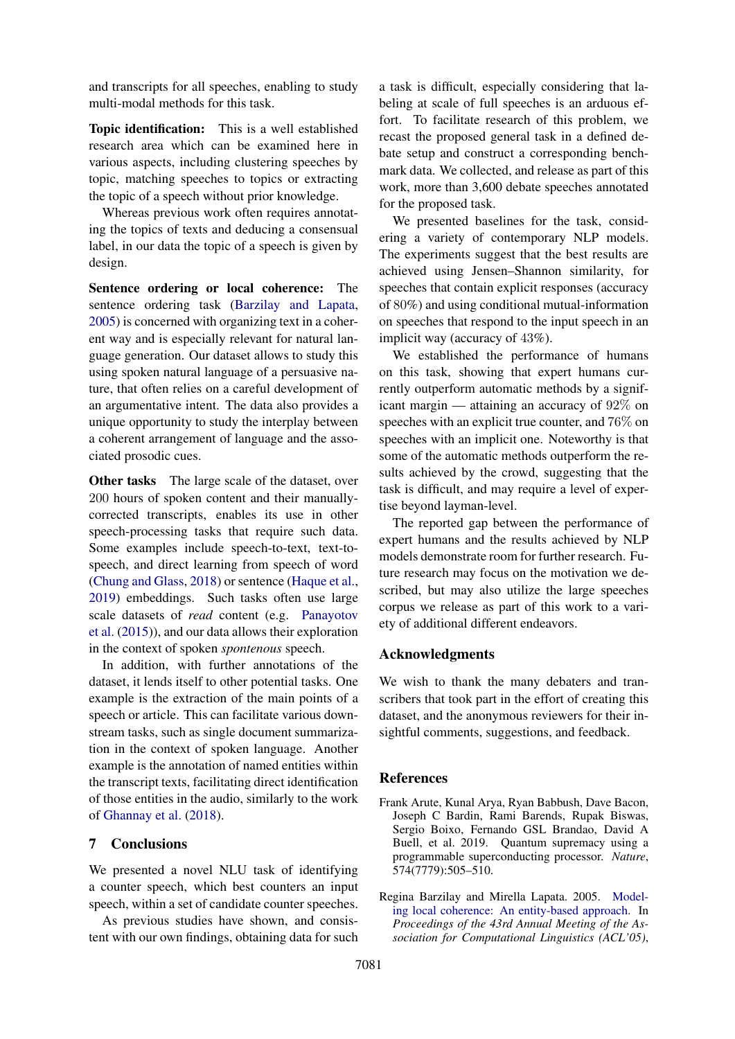and transcripts for all speeches, enabling to study multi-modal methods for this task.

Topic identification: This is a well established research area which can be examined here in various aspects, including clustering speeches by topic, matching speeches to topics or extracting the topic of a speech without prior knowledge.

Whereas previous work often requires annotating the topics of texts and deducing a consensual label, in our data the topic of a speech is given by design.

Sentence ordering or local coherence: The sentence ordering task [\(Barzilay and Lapata,](#page-8-1) [2005\)](#page-8-1) is concerned with organizing text in a coherent way and is especially relevant for natural language generation. Our dataset allows to study this using spoken natural language of a persuasive nature, that often relies on a careful development of an argumentative intent. The data also provides a unique opportunity to study the interplay between a coherent arrangement of language and the associated prosodic cues.

**Other tasks** The large scale of the dataset, over 200 hours of spoken content and their manuallycorrected transcripts, enables its use in other speech-processing tasks that require such data. Some examples include speech-to-text, text-tospeech, and direct learning from speech of word [\(Chung and Glass,](#page-9-18) [2018\)](#page-9-18) or sentence [\(Haque et al.,](#page-9-19) [2019\)](#page-9-19) embeddings. Such tasks often use large scale datasets of *read* content (e.g. [Panayotov](#page-10-16) [et al.](#page-10-16) [\(2015\)](#page-10-16)), and our data allows their exploration in the context of spoken *spontenous* speech.

In addition, with further annotations of the dataset, it lends itself to other potential tasks. One example is the extraction of the main points of a speech or article. This can facilitate various downstream tasks, such as single document summarization in the context of spoken language. Another example is the annotation of named entities within the transcript texts, facilitating direct identification of those entities in the audio, similarly to the work of [Ghannay et al.](#page-9-20) [\(2018\)](#page-9-20).

## 7 Conclusions

We presented a novel NLU task of identifying a counter speech, which best counters an input speech, within a set of candidate counter speeches.

As previous studies have shown, and consistent with our own findings, obtaining data for such

a task is difficult, especially considering that labeling at scale of full speeches is an arduous effort. To facilitate research of this problem, we recast the proposed general task in a defined debate setup and construct a corresponding benchmark data. We collected, and release as part of this work, more than 3,600 debate speeches annotated for the proposed task.

We presented baselines for the task, considering a variety of contemporary NLP models. The experiments suggest that the best results are achieved using Jensen–Shannon similarity, for speeches that contain explicit responses (accuracy of 80%) and using conditional mutual-information on speeches that respond to the input speech in an implicit way (accuracy of 43%).

We established the performance of humans on this task, showing that expert humans currently outperform automatic methods by a significant margin — attaining an accuracy of 92% on speeches with an explicit true counter, and 76% on speeches with an implicit one. Noteworthy is that some of the automatic methods outperform the results achieved by the crowd, suggesting that the task is difficult, and may require a level of expertise beyond layman-level.

The reported gap between the performance of expert humans and the results achieved by NLP models demonstrate room for further research. Future research may focus on the motivation we described, but may also utilize the large speeches corpus we release as part of this work to a variety of additional different endeavors.

#### Acknowledgments

We wish to thank the many debaters and transcribers that took part in the effort of creating this dataset, and the anonymous reviewers for their insightful comments, suggestions, and feedback.

#### References

- <span id="page-8-0"></span>Frank Arute, Kunal Arya, Ryan Babbush, Dave Bacon, Joseph C Bardin, Rami Barends, Rupak Biswas, Sergio Boixo, Fernando GSL Brandao, David A Buell, et al. 2019. Quantum supremacy using a programmable superconducting processor. *Nature*, 574(7779):505–510.
- <span id="page-8-1"></span>Regina Barzilay and Mirella Lapata. 2005. [Model](https://doi.org/10.3115/1219840.1219858)[ing local coherence: An entity-based approach.](https://doi.org/10.3115/1219840.1219858) In *Proceedings of the 43rd Annual Meeting of the Association for Computational Linguistics (ACL'05)*,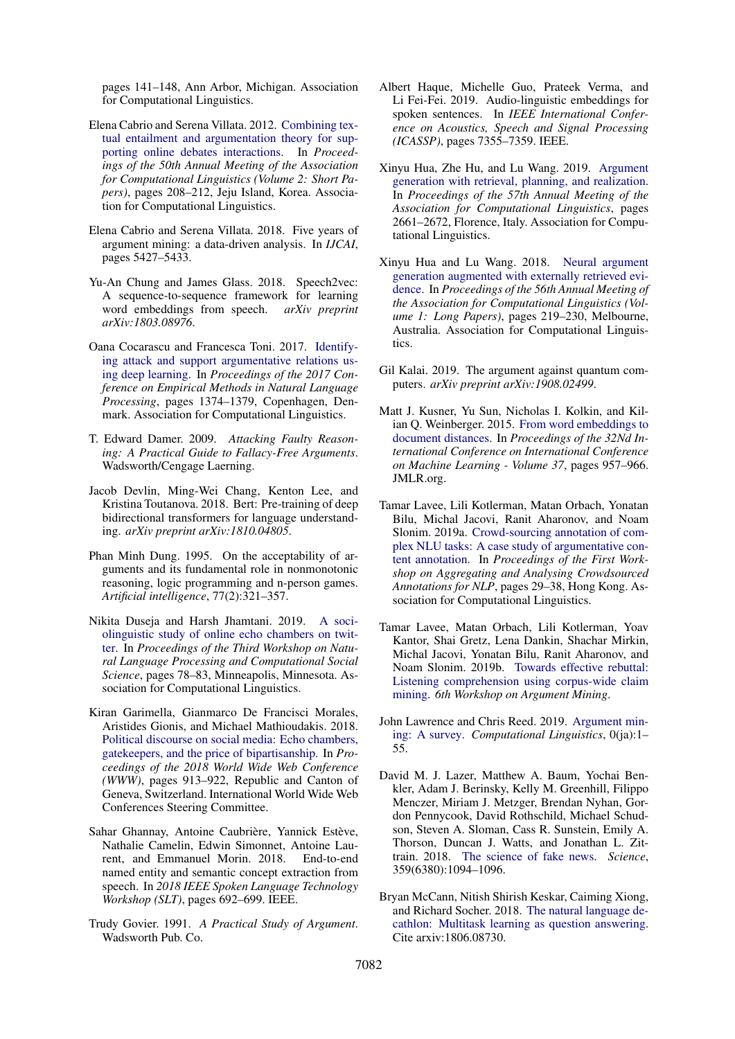pages 141–148, Ann Arbor, Michigan. Association for Computational Linguistics.

- <span id="page-9-6"></span>Elena Cabrio and Serena Villata. 2012. [Combining tex](https://www.aclweb.org/anthology/P12-2041)[tual entailment and argumentation theory for sup](https://www.aclweb.org/anthology/P12-2041)[porting online debates interactions.](https://www.aclweb.org/anthology/P12-2041) In *Proceedings of the 50th Annual Meeting of the Association for Computational Linguistics (Volume 2: Short Papers)*, pages 208–212, Jeju Island, Korea. Association for Computational Linguistics.
- <span id="page-9-4"></span>Elena Cabrio and Serena Villata. 2018. Five years of argument mining: a data-driven analysis. In *IJCAI*, pages 5427–5433.
- <span id="page-9-18"></span>Yu-An Chung and James Glass. 2018. Speech2vec: A sequence-to-sequence framework for learning word embeddings from speech. *arXiv preprint arXiv:1803.08976*.
- <span id="page-9-7"></span>Oana Cocarascu and Francesca Toni. 2017. [Identify](https://doi.org/10.18653/v1/D17-1144)[ing attack and support argumentative relations us](https://doi.org/10.18653/v1/D17-1144)[ing deep learning.](https://doi.org/10.18653/v1/D17-1144) In *Proceedings of the 2017 Conference on Empirical Methods in Natural Language Processing*, pages 1374–1379, Copenhagen, Denmark. Association for Computational Linguistics.
- <span id="page-9-12"></span>T. Edward Damer. 2009. *Attacking Faulty Reasoning: A Practical Guide to Fallacy-Free Arguments*. Wadsworth/Cengage Laerning.
- <span id="page-9-13"></span>Jacob Devlin, Ming-Wei Chang, Kenton Lee, and Kristina Toutanova. 2018. Bert: Pre-training of deep bidirectional transformers for language understanding. *arXiv preprint arXiv:1810.04805*.
- <span id="page-9-11"></span>Phan Minh Dung. 1995. On the acceptability of arguments and its fundamental role in nonmonotonic reasoning, logic programming and n-person games. *Artificial intelligence*, 77(2):321–357.
- <span id="page-9-16"></span>Nikita Duseja and Harsh Jhamtani. 2019. [A soci](https://doi.org/10.18653/v1/W19-2109)[olinguistic study of online echo chambers on twit](https://doi.org/10.18653/v1/W19-2109)[ter.](https://doi.org/10.18653/v1/W19-2109) In *Proceedings of the Third Workshop on Natural Language Processing and Computational Social Science*, pages 78–83, Minneapolis, Minnesota. Association for Computational Linguistics.
- <span id="page-9-1"></span>Kiran Garimella, Gianmarco De Francisci Morales, Aristides Gionis, and Michael Mathioudakis. 2018. [Political discourse on social media: Echo chambers,](https://doi.org/10.1145/3178876.3186139) [gatekeepers, and the price of bipartisanship.](https://doi.org/10.1145/3178876.3186139) In *Proceedings of the 2018 World Wide Web Conference (WWW)*, pages 913–922, Republic and Canton of Geneva, Switzerland. International World Wide Web Conferences Steering Committee.
- <span id="page-9-20"></span>Sahar Ghannay, Antoine Caubrière, Yannick Estève, Nathalie Camelin, Edwin Simonnet, Antoine Laurent, and Emmanuel Morin. 2018. End-to-end named entity and semantic concept extraction from speech. In *2018 IEEE Spoken Language Technology Workshop (SLT)*, pages 692–699. IEEE.
- <span id="page-9-10"></span>Trudy Govier. 1991. *A Practical Study of Argument*. Wadsworth Pub. Co.
- <span id="page-9-19"></span>Albert Haque, Michelle Guo, Prateek Verma, and Li Fei-Fei. 2019. Audio-linguistic embeddings for spoken sentences. In *IEEE International Conference on Acoustics, Speech and Signal Processing (ICASSP)*, pages 7355–7359. IEEE.
- <span id="page-9-9"></span>Xinyu Hua, Zhe Hu, and Lu Wang. 2019. [Argument](https://www.aclweb.org/anthology/P19-1255) [generation with retrieval, planning, and realization.](https://www.aclweb.org/anthology/P19-1255) In *Proceedings of the 57th Annual Meeting of the Association for Computational Linguistics*, pages 2661–2672, Florence, Italy. Association for Computational Linguistics.
- <span id="page-9-8"></span>Xinyu Hua and Lu Wang. 2018. [Neural argument](https://doi.org/10.18653/v1/P18-1021) [generation augmented with externally retrieved evi](https://doi.org/10.18653/v1/P18-1021)[dence.](https://doi.org/10.18653/v1/P18-1021) In *Proceedings of the 56th Annual Meeting of the Association for Computational Linguistics (Volume 1: Long Papers)*, pages 219–230, Melbourne, Australia. Association for Computational Linguistics.
- <span id="page-9-0"></span>Gil Kalai. 2019. The argument against quantum computers. *arXiv preprint arXiv:1908.02499*.
- <span id="page-9-17"></span>Matt J. Kusner, Yu Sun, Nicholas I. Kolkin, and Kilian Q. Weinberger. 2015. [From word embeddings to](http://dl.acm.org/citation.cfm?id=3045118.3045221) [document distances.](http://dl.acm.org/citation.cfm?id=3045118.3045221) In *Proceedings of the 32Nd International Conference on International Conference on Machine Learning - Volume 37*, pages 957–966. JMLR.org.
- <span id="page-9-2"></span>Tamar Lavee, Lili Kotlerman, Matan Orbach, Yonatan Bilu, Michal Jacovi, Ranit Aharonov, and Noam Slonim. 2019a. [Crowd-sourcing annotation of com](https://doi.org/10.18653/v1/D19-5905)[plex NLU tasks: A case study of argumentative con](https://doi.org/10.18653/v1/D19-5905)[tent annotation.](https://doi.org/10.18653/v1/D19-5905) In *Proceedings of the First Workshop on Aggregating and Analysing Crowdsourced Annotations for NLP*, pages 29–38, Hong Kong. Association for Computational Linguistics.
- <span id="page-9-3"></span>Tamar Lavee, Matan Orbach, Lili Kotlerman, Yoav Kantor, Shai Gretz, Lena Dankin, Shachar Mirkin, Michal Jacovi, Yonatan Bilu, Ranit Aharonov, and Noam Slonim. 2019b. [Towards effective rebuttal:](http://arxiv.org/abs/1907.11889) [Listening comprehension using corpus-wide claim](http://arxiv.org/abs/1907.11889) [mining.](http://arxiv.org/abs/1907.11889) *6th Workshop on Argument Mining*.
- <span id="page-9-5"></span>John Lawrence and Chris Reed. 2019. [Argument min](https://doi.org/10.1162/COLI_a_00364)[ing: A survey.](https://doi.org/10.1162/COLI_a_00364) *Computational Linguistics*, 0(ja):1– 55.
- <span id="page-9-15"></span>David M. J. Lazer, Matthew A. Baum, Yochai Benkler, Adam J. Berinsky, Kelly M. Greenhill, Filippo Menczer, Miriam J. Metzger, Brendan Nyhan, Gordon Pennycook, David Rothschild, Michael Schudson, Steven A. Sloman, Cass R. Sunstein, Emily A. Thorson, Duncan J. Watts, and Jonathan L. Zittrain. 2018. [The science of fake news.](https://doi.org/10.1126/science.aao2998) *Science*, 359(6380):1094–1096.
- <span id="page-9-14"></span>Bryan McCann, Nitish Shirish Keskar, Caiming Xiong, and Richard Socher. 2018. [The natural language de](http://arxiv.org/abs/1806.08730)[cathlon: Multitask learning as question answering.](http://arxiv.org/abs/1806.08730) Cite arxiv:1806.08730.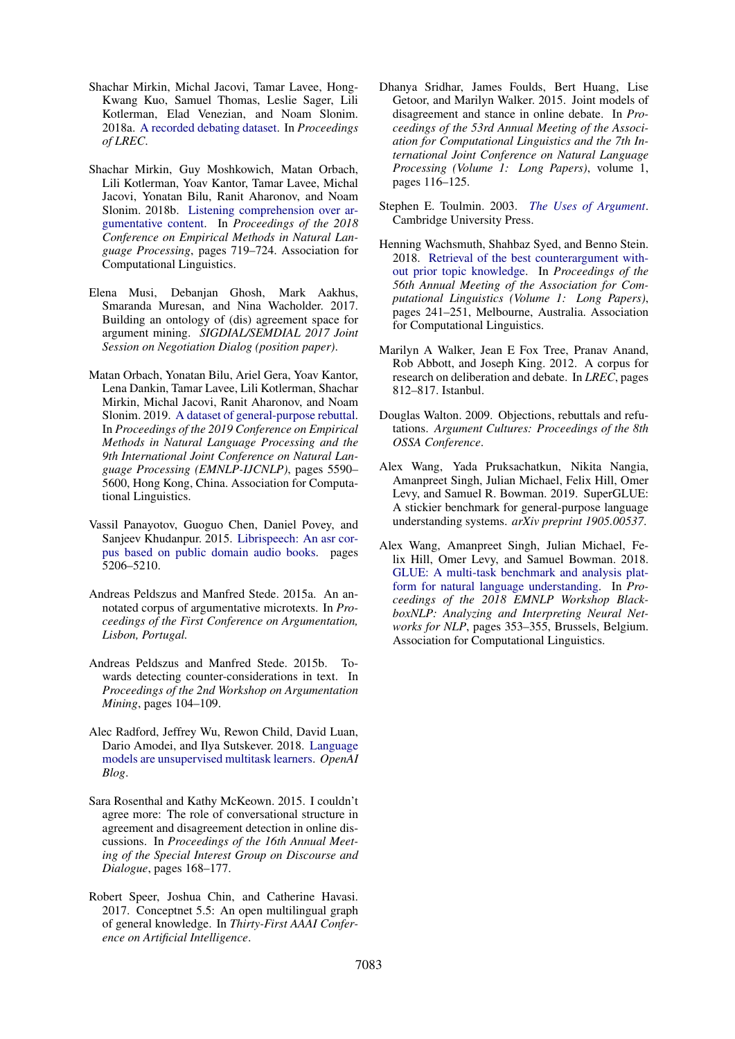- <span id="page-10-14"></span>Shachar Mirkin, Michal Jacovi, Tamar Lavee, Hong-Kwang Kuo, Samuel Thomas, Leslie Sager, Lili Kotlerman, Elad Venezian, and Noam Slonim. 2018a. [A recorded debating dataset.](https://www.aclweb.org/anthology/L18-1037) In *Proceedings of LREC*.
- <span id="page-10-1"></span>Shachar Mirkin, Guy Moshkowich, Matan Orbach, Lili Kotlerman, Yoav Kantor, Tamar Lavee, Michal Jacovi, Yonatan Bilu, Ranit Aharonov, and Noam Slonim. 2018b. [Listening comprehension over ar](http://aclweb.org/anthology/D18-1078)[gumentative content.](http://aclweb.org/anthology/D18-1078) In *Proceedings of the 2018 Conference on Empirical Methods in Natural Language Processing*, pages 719–724. Association for Computational Linguistics.
- <span id="page-10-8"></span>Elena Musi, Debanjan Ghosh, Mark Aakhus, Smaranda Muresan, and Nina Wacholder. 2017. Building an ontology of (dis) agreement space for argument mining. *SIGDIAL/SEMDIAL 2017 Joint Session on Negotiation Dialog (position paper)*.
- <span id="page-10-2"></span>Matan Orbach, Yonatan Bilu, Ariel Gera, Yoav Kantor, Lena Dankin, Tamar Lavee, Lili Kotlerman, Shachar Mirkin, Michal Jacovi, Ranit Aharonov, and Noam Slonim. 2019. [A dataset of general-purpose rebuttal.](https://doi.org/10.18653/v1/D19-1561) In *Proceedings of the 2019 Conference on Empirical Methods in Natural Language Processing and the 9th International Joint Conference on Natural Language Processing (EMNLP-IJCNLP)*, pages 5590– 5600, Hong Kong, China. Association for Computational Linguistics.
- <span id="page-10-16"></span>Vassil Panayotov, Guoguo Chen, Daniel Povey, and Sanjeev Khudanpur. 2015. [Librispeech: An asr cor](https://doi.org/10.1109/ICASSP.2015.7178964)[pus based on public domain audio books.](https://doi.org/10.1109/ICASSP.2015.7178964) pages 5206–5210.
- <span id="page-10-7"></span>Andreas Peldszus and Manfred Stede. 2015a. An annotated corpus of argumentative microtexts. In *Proceedings of the First Conference on Argumentation, Lisbon, Portugal.*
- <span id="page-10-4"></span>Andreas Peldszus and Manfred Stede. 2015b. Towards detecting counter-considerations in text. In *Proceedings of the 2nd Workshop on Argumentation Mining*, pages 104–109.
- <span id="page-10-11"></span>Alec Radford, Jeffrey Wu, Rewon Child, David Luan, Dario Amodei, and Ilya Sutskever. 2018. [Language](https://d4mucfpksywv.cloudfront.net/better-language-models/language-models.pdf) [models are unsupervised multitask learners.](https://d4mucfpksywv.cloudfront.net/better-language-models/language-models.pdf) *OpenAI Blog*.
- <span id="page-10-3"></span>Sara Rosenthal and Kathy McKeown. 2015. I couldn't agree more: The role of conversational structure in agreement and disagreement detection in online discussions. In *Proceedings of the 16th Annual Meeting of the Special Interest Group on Discourse and Dialogue*, pages 168–177.
- <span id="page-10-15"></span>Robert Speer, Joshua Chin, and Catherine Havasi. 2017. Conceptnet 5.5: An open multilingual graph of general knowledge. In *Thirty-First AAAI Conference on Artificial Intelligence*.
- <span id="page-10-5"></span>Dhanya Sridhar, James Foulds, Bert Huang, Lise Getoor, and Marilyn Walker. 2015. Joint models of disagreement and stance in online debate. In *Proceedings of the 53rd Annual Meeting of the Association for Computational Linguistics and the 7th International Joint Conference on Natural Language Processing (Volume 1: Long Papers)*, volume 1, pages 116–125.
- <span id="page-10-9"></span>Stephen E. Toulmin. 2003. *[The Uses of Argument](http://www.amazon.com/exec/obidos/redirect?tag=citeulike-20&path=ASIN/0521534836)*. Cambridge University Press.
- <span id="page-10-0"></span>Henning Wachsmuth, Shahbaz Syed, and Benno Stein. 2018. [Retrieval of the best counterargument with](https://doi.org/10.18653/v1/P18-1023)[out prior topic knowledge.](https://doi.org/10.18653/v1/P18-1023) In *Proceedings of the 56th Annual Meeting of the Association for Computational Linguistics (Volume 1: Long Papers)*, pages 241–251, Melbourne, Australia. Association for Computational Linguistics.
- <span id="page-10-6"></span>Marilyn A Walker, Jean E Fox Tree, Pranav Anand, Rob Abbott, and Joseph King. 2012. A corpus for research on deliberation and debate. In *LREC*, pages 812–817. Istanbul.
- <span id="page-10-10"></span>Douglas Walton. 2009. Objections, rebuttals and refutations. *Argument Cultures: Proceedings of the 8th OSSA Conference*.
- <span id="page-10-13"></span>Alex Wang, Yada Pruksachatkun, Nikita Nangia, Amanpreet Singh, Julian Michael, Felix Hill, Omer Levy, and Samuel R. Bowman. 2019. SuperGLUE: A stickier benchmark for general-purpose language understanding systems. *arXiv preprint 1905.00537*.
- <span id="page-10-12"></span>Alex Wang, Amanpreet Singh, Julian Michael, Felix Hill, Omer Levy, and Samuel Bowman. 2018. [GLUE: A multi-task benchmark and analysis plat](https://doi.org/10.18653/v1/W18-5446)[form for natural language understanding.](https://doi.org/10.18653/v1/W18-5446) In *Proceedings of the 2018 EMNLP Workshop BlackboxNLP: Analyzing and Interpreting Neural Networks for NLP*, pages 353–355, Brussels, Belgium. Association for Computational Linguistics.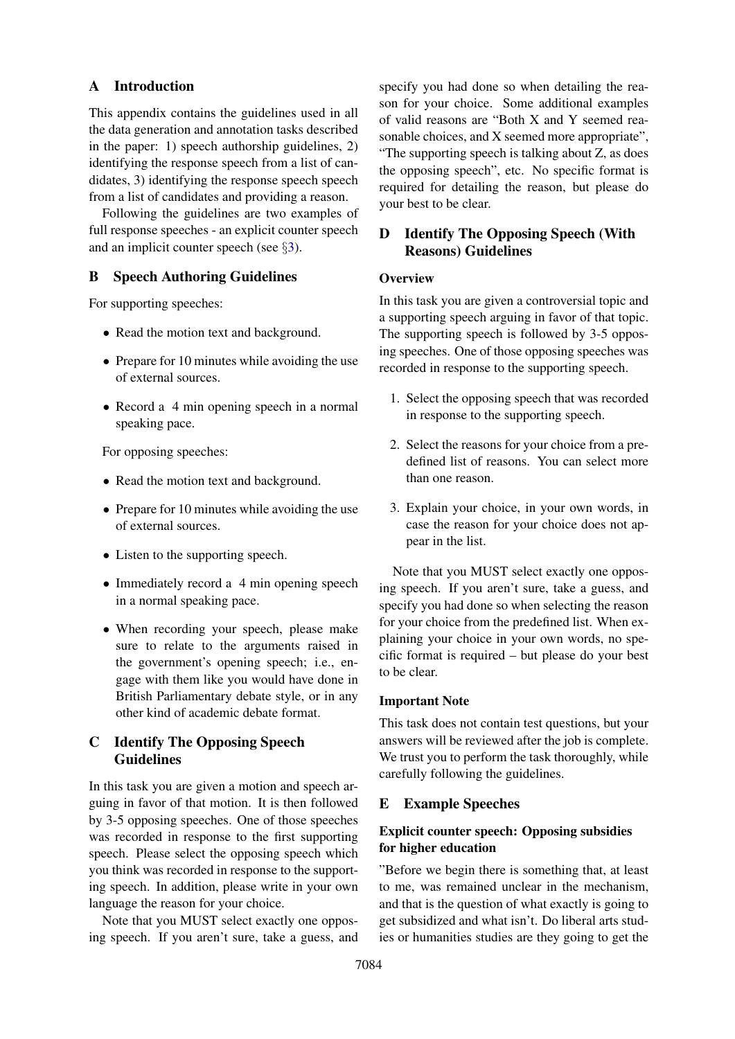### A Introduction

This appendix contains the guidelines used in all the data generation and annotation tasks described in the paper: 1) speech authorship guidelines, 2) identifying the response speech from a list of candidates, 3) identifying the response speech speech from a list of candidates and providing a reason.

Following the guidelines are two examples of full response speeches - an explicit counter speech and an implicit counter speech (see §[3\)](#page-2-0).

## B Speech Authoring Guidelines

For supporting speeches:

- Read the motion text and background.
- Prepare for 10 minutes while avoiding the use of external sources.
- Record a 4 min opening speech in a normal speaking pace.

For opposing speeches:

- Read the motion text and background.
- Prepare for 10 minutes while avoiding the use of external sources.
- Listen to the supporting speech.
- Immediately record a 4 min opening speech in a normal speaking pace.
- When recording your speech, please make sure to relate to the arguments raised in the government's opening speech; i.e., engage with them like you would have done in British Parliamentary debate style, or in any other kind of academic debate format.

## C Identify The Opposing Speech Guidelines

In this task you are given a motion and speech arguing in favor of that motion. It is then followed by 3-5 opposing speeches. One of those speeches was recorded in response to the first supporting speech. Please select the opposing speech which you think was recorded in response to the supporting speech. In addition, please write in your own language the reason for your choice.

Note that you MUST select exactly one opposing speech. If you aren't sure, take a guess, and specify you had done so when detailing the reason for your choice. Some additional examples of valid reasons are "Both X and Y seemed reasonable choices, and X seemed more appropriate", "The supporting speech is talking about Z, as does the opposing speech", etc. No specific format is required for detailing the reason, but please do your best to be clear.

## D Identify The Opposing Speech (With Reasons) Guidelines

### **Overview**

In this task you are given a controversial topic and a supporting speech arguing in favor of that topic. The supporting speech is followed by 3-5 opposing speeches. One of those opposing speeches was recorded in response to the supporting speech.

- 1. Select the opposing speech that was recorded in response to the supporting speech.
- 2. Select the reasons for your choice from a predefined list of reasons. You can select more than one reason.
- 3. Explain your choice, in your own words, in case the reason for your choice does not appear in the list.

Note that you MUST select exactly one opposing speech. If you aren't sure, take a guess, and specify you had done so when selecting the reason for your choice from the predefined list. When explaining your choice in your own words, no specific format is required – but please do your best to be clear.

#### Important Note

This task does not contain test questions, but your answers will be reviewed after the job is complete. We trust you to perform the task thoroughly, while carefully following the guidelines.

## E Example Speeches

## Explicit counter speech: Opposing subsidies for higher education

"Before we begin there is something that, at least to me, was remained unclear in the mechanism, and that is the question of what exactly is going to get subsidized and what isn't. Do liberal arts studies or humanities studies are they going to get the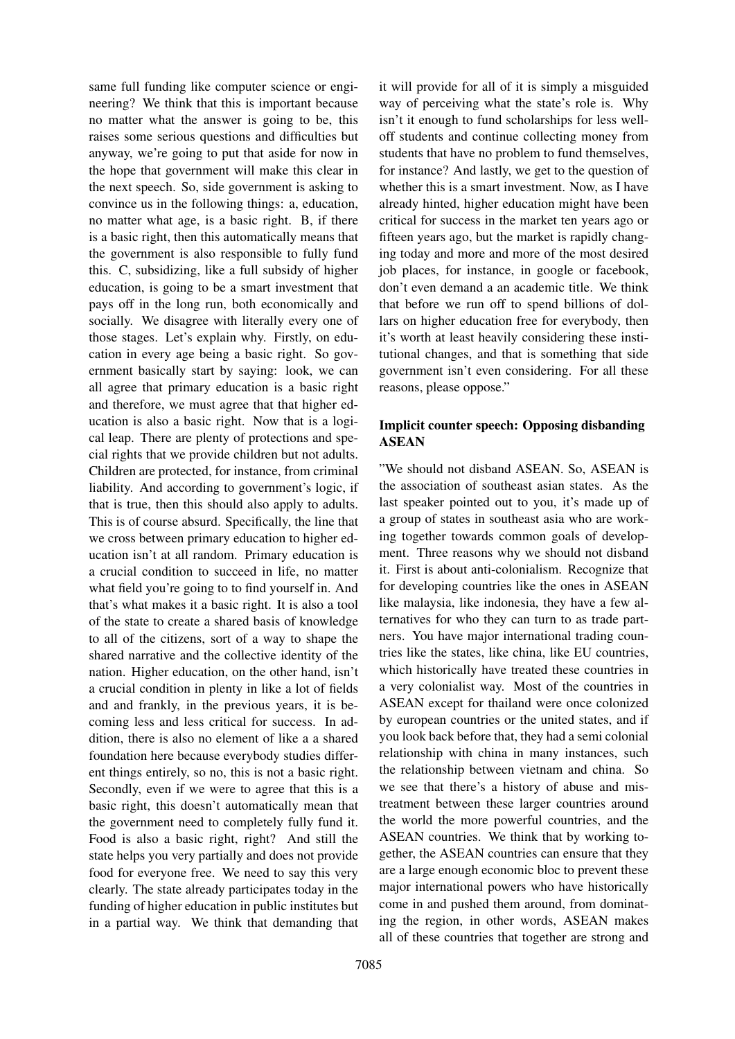same full funding like computer science or engineering? We think that this is important because no matter what the answer is going to be, this raises some serious questions and difficulties but anyway, we're going to put that aside for now in the hope that government will make this clear in the next speech. So, side government is asking to convince us in the following things: a, education, no matter what age, is a basic right. B, if there is a basic right, then this automatically means that the government is also responsible to fully fund this. C, subsidizing, like a full subsidy of higher education, is going to be a smart investment that pays off in the long run, both economically and socially. We disagree with literally every one of those stages. Let's explain why. Firstly, on education in every age being a basic right. So government basically start by saying: look, we can all agree that primary education is a basic right and therefore, we must agree that that higher education is also a basic right. Now that is a logical leap. There are plenty of protections and special rights that we provide children but not adults. Children are protected, for instance, from criminal liability. And according to government's logic, if that is true, then this should also apply to adults. This is of course absurd. Specifically, the line that we cross between primary education to higher education isn't at all random. Primary education is a crucial condition to succeed in life, no matter what field you're going to to find yourself in. And that's what makes it a basic right. It is also a tool of the state to create a shared basis of knowledge to all of the citizens, sort of a way to shape the shared narrative and the collective identity of the nation. Higher education, on the other hand, isn't a crucial condition in plenty in like a lot of fields and and frankly, in the previous years, it is becoming less and less critical for success. In addition, there is also no element of like a a shared foundation here because everybody studies different things entirely, so no, this is not a basic right. Secondly, even if we were to agree that this is a basic right, this doesn't automatically mean that the government need to completely fully fund it. Food is also a basic right, right? And still the state helps you very partially and does not provide food for everyone free. We need to say this very clearly. The state already participates today in the funding of higher education in public institutes but in a partial way. We think that demanding that

it will provide for all of it is simply a misguided way of perceiving what the state's role is. Why isn't it enough to fund scholarships for less welloff students and continue collecting money from students that have no problem to fund themselves, for instance? And lastly, we get to the question of whether this is a smart investment. Now, as I have already hinted, higher education might have been critical for success in the market ten years ago or fifteen years ago, but the market is rapidly changing today and more and more of the most desired job places, for instance, in google or facebook, don't even demand a an academic title. We think that before we run off to spend billions of dollars on higher education free for everybody, then it's worth at least heavily considering these institutional changes, and that is something that side government isn't even considering. For all these reasons, please oppose."

## Implicit counter speech: Opposing disbanding ASEAN

"We should not disband ASEAN. So, ASEAN is the association of southeast asian states. As the last speaker pointed out to you, it's made up of a group of states in southeast asia who are working together towards common goals of development. Three reasons why we should not disband it. First is about anti-colonialism. Recognize that for developing countries like the ones in ASEAN like malaysia, like indonesia, they have a few alternatives for who they can turn to as trade partners. You have major international trading countries like the states, like china, like EU countries, which historically have treated these countries in a very colonialist way. Most of the countries in ASEAN except for thailand were once colonized by european countries or the united states, and if you look back before that, they had a semi colonial relationship with china in many instances, such the relationship between vietnam and china. So we see that there's a history of abuse and mistreatment between these larger countries around the world the more powerful countries, and the ASEAN countries. We think that by working together, the ASEAN countries can ensure that they are a large enough economic bloc to prevent these major international powers who have historically come in and pushed them around, from dominating the region, in other words, ASEAN makes all of these countries that together are strong and